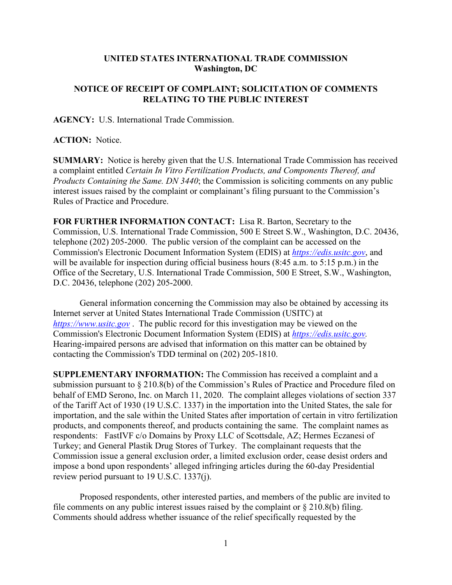## **UNITED STATES INTERNATIONAL TRADE COMMISSION Washington, DC**

## **NOTICE OF RECEIPT OF COMPLAINT; SOLICITATION OF COMMENTS RELATING TO THE PUBLIC INTEREST**

**AGENCY:** U.S. International Trade Commission.

## **ACTION:** Notice.

**SUMMARY:** Notice is hereby given that the U.S. International Trade Commission has received a complaint entitled *Certain In Vitro Fertilization Products, and Components Thereof, and Products Containing the Same. DN 3440*; the Commission is soliciting comments on any public interest issues raised by the complaint or complainant's filing pursuant to the Commission's Rules of Practice and Procedure.

**FOR FURTHER INFORMATION CONTACT:** Lisa R. Barton, Secretary to the Commission, U.S. International Trade Commission, 500 E Street S.W., Washington, D.C. 20436, telephone (202) 205-2000. The public version of the complaint can be accessed on the Commission's Electronic Document Information System (EDIS) at *[https://edis.usitc.gov](https://edis.usitc.gov/)*, and will be available for inspection during official business hours (8:45 a.m. to 5:15 p.m.) in the Office of the Secretary, U.S. International Trade Commission, 500 E Street, S.W., Washington, D.C. 20436, telephone (202) 205-2000.

General information concerning the Commission may also be obtained by accessing its Internet server at United States International Trade Commission (USITC) at *[https://www.usitc.gov](https://www.usitc.gov/)* . The public record for this investigation may be viewed on the Commission's Electronic Document Information System (EDIS) at *[https://edis.usitc.gov.](https://edis.usitc.gov/)* Hearing-impaired persons are advised that information on this matter can be obtained by contacting the Commission's TDD terminal on (202) 205-1810.

**SUPPLEMENTARY INFORMATION:** The Commission has received a complaint and a submission pursuant to § 210.8(b) of the Commission's Rules of Practice and Procedure filed on behalf of EMD Serono, Inc. on March 11, 2020. The complaint alleges violations of section 337 of the Tariff Act of 1930 (19 U.S.C. 1337) in the importation into the United States, the sale for importation, and the sale within the United States after importation of certain in vitro fertilization products, and components thereof, and products containing the same. The complaint names as respondents: FastIVF c/o Domains by Proxy LLC of Scottsdale, AZ; Hermes Eczanesi of Turkey; and General Plastik Drug Stores of Turkey. The complainant requests that the Commission issue a general exclusion order, a limited exclusion order, cease desist orders and impose a bond upon respondents' alleged infringing articles during the 60-day Presidential review period pursuant to 19 U.S.C. 1337(j).

Proposed respondents, other interested parties, and members of the public are invited to file comments on any public interest issues raised by the complaint or  $\S 210.8(b)$  filing. Comments should address whether issuance of the relief specifically requested by the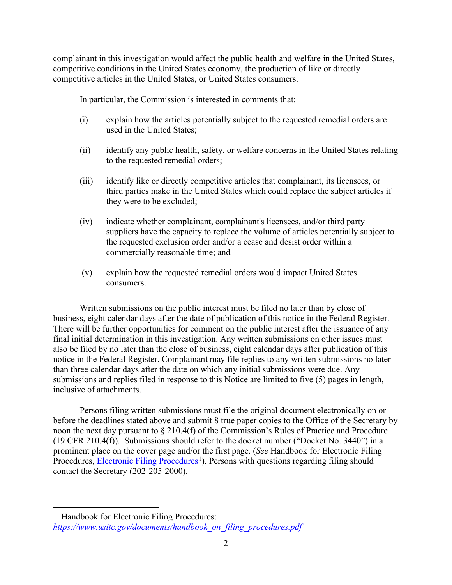complainant in this investigation would affect the public health and welfare in the United States, competitive conditions in the United States economy, the production of like or directly competitive articles in the United States, or United States consumers.

In particular, the Commission is interested in comments that:

- (i) explain how the articles potentially subject to the requested remedial orders are used in the United States;
- (ii) identify any public health, safety, or welfare concerns in the United States relating to the requested remedial orders;
- (iii) identify like or directly competitive articles that complainant, its licensees, or third parties make in the United States which could replace the subject articles if they were to be excluded;
- (iv) indicate whether complainant, complainant's licensees, and/or third party suppliers have the capacity to replace the volume of articles potentially subject to the requested exclusion order and/or a cease and desist order within a commercially reasonable time; and
- (v) explain how the requested remedial orders would impact United States consumers.

Written submissions on the public interest must be filed no later than by close of business, eight calendar days after the date of publication of this notice in the Federal Register. There will be further opportunities for comment on the public interest after the issuance of any final initial determination in this investigation. Any written submissions on other issues must also be filed by no later than the close of business, eight calendar days after publication of this notice in the Federal Register. Complainant may file replies to any written submissions no later than three calendar days after the date on which any initial submissions were due. Any submissions and replies filed in response to this Notice are limited to five (5) pages in length, inclusive of attachments.

Persons filing written submissions must file the original document electronically on or before the deadlines stated above and submit 8 true paper copies to the Office of the Secretary by noon the next day pursuant to § 210.4(f) of the Commission's Rules of Practice and Procedure (19 CFR 210.4(f)). Submissions should refer to the docket number ("Docket No. 3440") in a prominent place on the cover page and/or the first page. (*See* Handbook for Electronic Filing Procedures, *Electronic Filing Procedures*<sup>[1](#page-1-0)</sup>). Persons with questions regarding filing should contact the Secretary (202-205-2000).

<span id="page-1-0"></span><sup>1</sup> Handbook for Electronic Filing Procedures: *[https://www.usitc.gov/documents/handbook\\_on\\_filing\\_procedures.pdf](https://www.usitc.gov/documents/handbook_on_filing_procedures.pdf)*